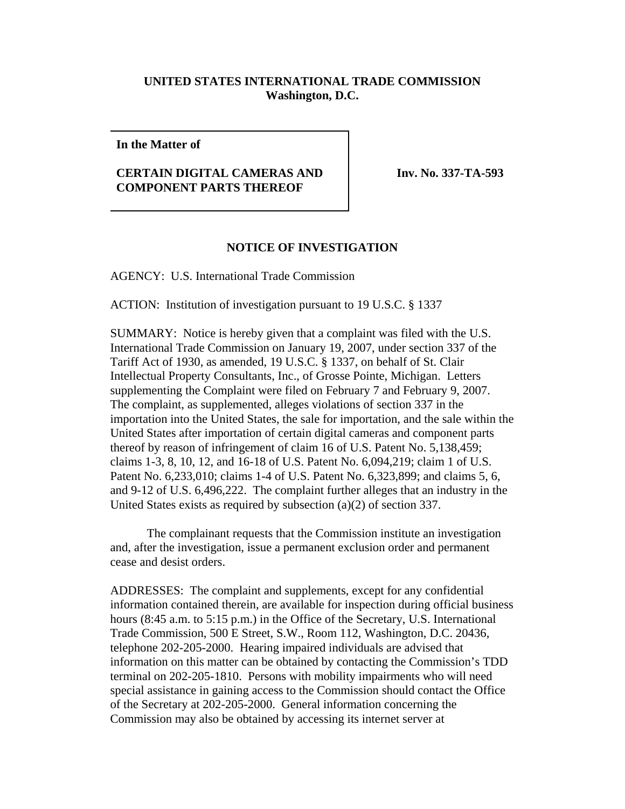## **UNITED STATES INTERNATIONAL TRADE COMMISSION Washington, D.C.**

## **In the Matter of**

## **CERTAIN DIGITAL CAMERAS AND COMPONENT PARTS THEREOF**

**Inv. No. 337-TA-593**

## **NOTICE OF INVESTIGATION**

AGENCY: U.S. International Trade Commission

ACTION: Institution of investigation pursuant to 19 U.S.C. § 1337

SUMMARY: Notice is hereby given that a complaint was filed with the U.S. International Trade Commission on January 19, 2007, under section 337 of the Tariff Act of 1930, as amended, 19 U.S.C. § 1337, on behalf of St. Clair Intellectual Property Consultants, Inc., of Grosse Pointe, Michigan. Letters supplementing the Complaint were filed on February 7 and February 9, 2007. The complaint, as supplemented, alleges violations of section 337 in the importation into the United States, the sale for importation, and the sale within the United States after importation of certain digital cameras and component parts thereof by reason of infringement of claim 16 of U.S. Patent No. 5,138,459; claims 1-3, 8, 10, 12, and 16-18 of U.S. Patent No. 6,094,219; claim 1 of U.S. Patent No. 6,233,010; claims 1-4 of U.S. Patent No. 6,323,899; and claims 5, 6, and 9-12 of U.S. 6,496,222. The complaint further alleges that an industry in the United States exists as required by subsection (a)(2) of section 337.

The complainant requests that the Commission institute an investigation and, after the investigation, issue a permanent exclusion order and permanent cease and desist orders.

ADDRESSES: The complaint and supplements, except for any confidential information contained therein, are available for inspection during official business hours (8:45 a.m. to 5:15 p.m.) in the Office of the Secretary, U.S. International Trade Commission, 500 E Street, S.W., Room 112, Washington, D.C. 20436, telephone 202-205-2000. Hearing impaired individuals are advised that information on this matter can be obtained by contacting the Commission's TDD terminal on 202-205-1810. Persons with mobility impairments who will need special assistance in gaining access to the Commission should contact the Office of the Secretary at 202-205-2000. General information concerning the Commission may also be obtained by accessing its internet server at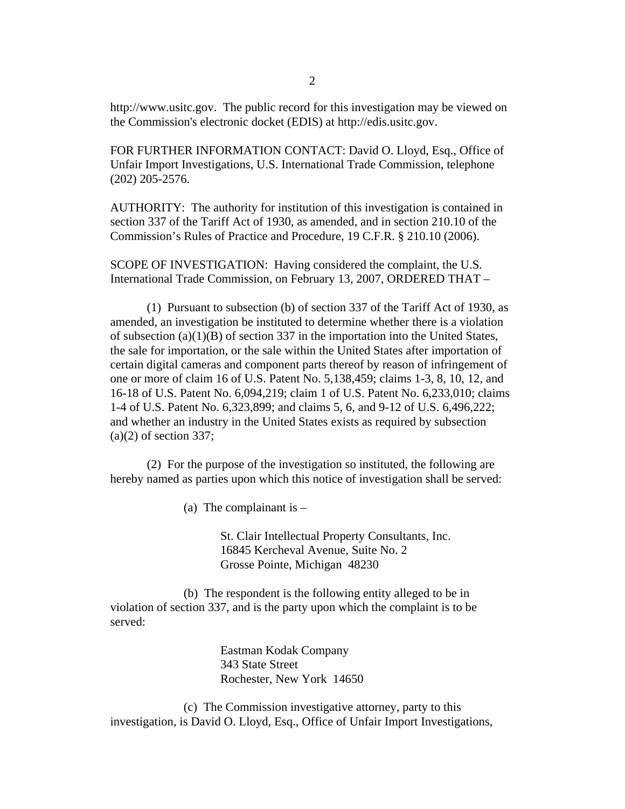http://www.usitc.gov. The public record for this investigation may be viewed on the Commission's electronic docket (EDIS) at http://edis.usitc.gov.

FOR FURTHER INFORMATION CONTACT: David O. Lloyd, Esq., Office of Unfair Import Investigations, U.S. International Trade Commission, telephone (202) 205-2576.

AUTHORITY: The authority for institution of this investigation is contained in section 337 of the Tariff Act of 1930, as amended, and in section 210.10 of the Commission's Rules of Practice and Procedure, 19 C.F.R. § 210.10 (2006).

SCOPE OF INVESTIGATION: Having considered the complaint, the U.S. International Trade Commission, on February 13, 2007, ORDERED THAT –

(1) Pursuant to subsection (b) of section 337 of the Tariff Act of 1930, as amended, an investigation be instituted to determine whether there is a violation of subsection  $(a)(1)(B)$  of section 337 in the importation into the United States, the sale for importation, or the sale within the United States after importation of certain digital cameras and component parts thereof by reason of infringement of one or more of claim 16 of U.S. Patent No. 5,138,459; claims 1-3, 8, 10, 12, and 16-18 of U.S. Patent No. 6,094,219; claim 1 of U.S. Patent No. 6,233,010; claims 1-4 of U.S. Patent No. 6,323,899; and claims 5, 6, and 9-12 of U.S. 6,496,222; and whether an industry in the United States exists as required by subsection  $(a)(2)$  of section 337;

(2) For the purpose of the investigation so instituted, the following are hereby named as parties upon which this notice of investigation shall be served:

(a) The complainant is  $-$ 

St. Clair Intellectual Property Consultants, Inc. 16845 Kercheval Avenue, Suite No. 2 Grosse Pointe, Michigan 48230

(b) The respondent is the following entity alleged to be in violation of section 337, and is the party upon which the complaint is to be served:

> Eastman Kodak Company 343 State Street Rochester, New York 14650

(c) The Commission investigative attorney, party to this investigation, is David O. Lloyd, Esq., Office of Unfair Import Investigations,